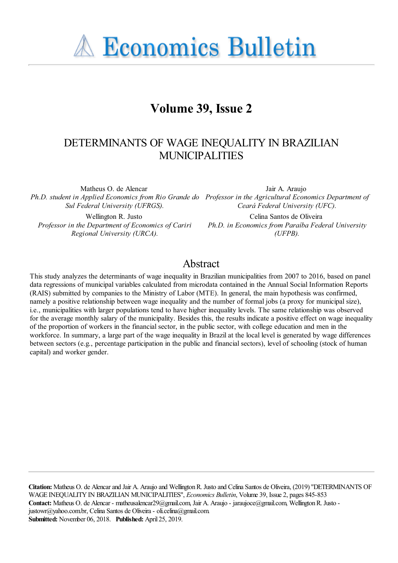**A Economics Bulletin** 

# **Volume 39, Issue 2**

# DETERMINANTS OF WAGE INEQUALITY IN BRAZILIAN MUNICIPALITIES

Matheus O. de Alencar *Ph.D. student in Applied Economics from Rio Grande do Professor in the Agricultural Economics Department of Sul Federal University (UFRGS).*

Wellington R. Justo *Professor in the Department of Economics of Cariri Regional University (URCA).*

Jair A. Araujo *Ceará Federal University (UFC).*

Celina Santos de Oliveira *Ph.D. in Economics from Paraíba Federal University (UFPB).*

## Abstract

This study analyzes the determinants of wage inequality in Brazilian municipalities from 2007 to 2016, based on panel data regressions of municipal variables calculated from microdata contained in the Annual Social Information Reports (RAIS) submitted by companies to the Ministry of Labor (MTE). In general, the main hypothesis was confirmed, namely a positive relationship between wage inequality and the number of formal jobs (a proxy for municipal size), i.e., municipalities with larger populations tend to have higher inequality levels. The same relationship was observed for the average monthly salary of the municipality. Besides this, the results indicate a positive effect on wage inequality of the proportion of workers in the financial sector, in the public sector, with college education and men in the workforce. In summary, a large part of the wage inequality in Brazil at the local level is generated by wage differences between sectors (e.g., percentage participation in the public and financial sectors), level of schooling (stock of human capital) and worker gender.

**Citation:** Matheus O. de Alencar and Jair A. Araujo and Wellington R. Justo and Celina Santos de Oliveira, (2019) ''DETERMINANTS OF WAGE INEQUALITY IN BRAZILIAN MUNICIPALITIES'', *Economics Bulletin*, Volume 39, Issue 2, pages 845-853 **Contact:** Matheus O. de Alencar - matheusalencar29@gmail.com, Jair A. Araujo - jaraujoce@gmail.com, Wellington R. Justo justowr@yahoo.com.br, Celina Santos de Oliveira - oli.celina@gmail.com. **Submitted:** November 06, 2018. **Published:** April 25, 2019.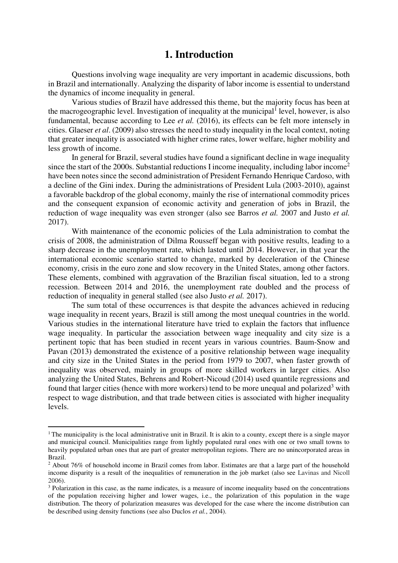### **1. Introduction**

 Questions involving wage inequality are very important in academic discussions, both in Brazil and internationally. Analyzing the disparity of labor income is essential to understand the dynamics of income inequality in general.

Various studies of Brazil have addressed this theme, but the majority focus has been at the macrogeographic level. Investigation of inequality at the municipal<sup>1</sup> level, however, is also fundamental, because according to Lee *et al.* (2016), its effects can be felt more intensely in cities. Glaeser *et al*. (2009) also stresses the need to study inequality in the local context, noting that greater inequality is associated with higher crime rates, lower welfare, higher mobility and less growth of income.

In general for Brazil, several studies have found a significant decline in wage inequality since the start of the 2000s. Substantial reductions I income inequality, including labor income<sup>2</sup> have been notes since the second administration of President Fernando Henrique Cardoso, with a decline of the Gini index. During the administrations of President Lula (2003-2010), against a favorable backdrop of the global economy, mainly the rise of international commodity prices and the consequent expansion of economic activity and generation of jobs in Brazil, the reduction of wage inequality was even stronger (also see Barros *et al.* 2007 and Justo *et al.* 2017).

With maintenance of the economic policies of the Lula administration to combat the crisis of 2008, the administration of Dilma Rousseff began with positive results, leading to a sharp decrease in the unemployment rate, which lasted until 2014. However, in that year the international economic scenario started to change, marked by deceleration of the Chinese economy, crisis in the euro zone and slow recovery in the United States, among other factors. These elements, combined with aggravation of the Brazilian fiscal situation, led to a strong recession. Between 2014 and 2016, the unemployment rate doubled and the process of reduction of inequality in general stalled (see also Justo *et al.* 2017).

The sum total of these occurrences is that despite the advances achieved in reducing wage inequality in recent years, Brazil is still among the most unequal countries in the world. Various studies in the international literature have tried to explain the factors that influence wage inequality. In particular the association between wage inequality and city size is a pertinent topic that has been studied in recent years in various countries. Baum-Snow and Pavan (2013) demonstrated the existence of a positive relationship between wage inequality and city size in the United States in the period from 1979 to 2007, when faster growth of inequality was observed, mainly in groups of more skilled workers in larger cities. Also analyzing the United States, Behrens and Robert-Nicoud (2014) used quantile regressions and found that larger cities (hence with more workers) tend to be more unequal and polarized<sup>3</sup> with respect to wage distribution, and that trade between cities is associated with higher inequality levels.

 $\overline{a}$ 

<sup>&</sup>lt;sup>1</sup> The municipality is the local administrative unit in Brazil. It is akin to a county, except there is a single mayor and municipal council. Municipalities range from lightly populated rural ones with one or two small towns to heavily populated urban ones that are part of greater metropolitan regions. There are no unincorporated areas in Brazil.

<sup>&</sup>lt;sup>2</sup> About 76% of household income in Brazil comes from labor. Estimates are that a large part of the household income disparity is a result of the inequalities of remuneration in the job market (also see Lavinas and Nicoll 2006).

<sup>&</sup>lt;sup>3</sup> Polarization in this case, as the name indicates, is a measure of income inequality based on the concentrations of the population receiving higher and lower wages, i.e., the polarization of this population in the wage distribution. The theory of polarization measures was developed for the case where the income distribution can be described using density functions (see also Duclos *et al.*, 2004).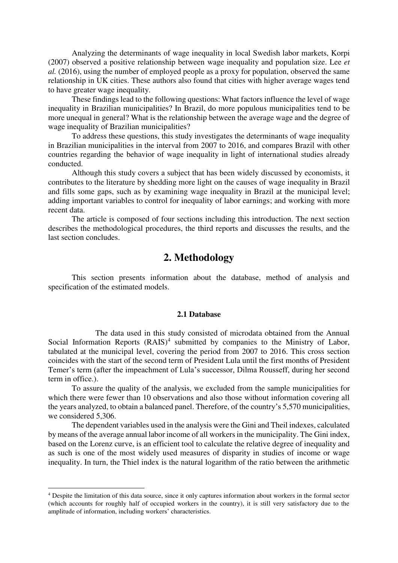Analyzing the determinants of wage inequality in local Swedish labor markets, Korpi (2007) observed a positive relationship between wage inequality and population size. Lee *et al.* (2016), using the number of employed people as a proxy for population, observed the same relationship in UK cities. These authors also found that cities with higher average wages tend to have greater wage inequality.

These findings lead to the following questions: What factors influence the level of wage inequality in Brazilian municipalities? In Brazil, do more populous municipalities tend to be more unequal in general? What is the relationship between the average wage and the degree of wage inequality of Brazilian municipalities?

To address these questions, this study investigates the determinants of wage inequality in Brazilian municipalities in the interval from 2007 to 2016, and compares Brazil with other countries regarding the behavior of wage inequality in light of international studies already conducted.

Although this study covers a subject that has been widely discussed by economists, it contributes to the literature by shedding more light on the causes of wage inequality in Brazil and fills some gaps, such as by examining wage inequality in Brazil at the municipal level; adding important variables to control for inequality of labor earnings; and working with more recent data.

The article is composed of four sections including this introduction. The next section describes the methodological procedures, the third reports and discusses the results, and the last section concludes.

### **2. Methodology**

 This section presents information about the database, method of analysis and specification of the estimated models.

#### **2.1 Database**

 The data used in this study consisted of microdata obtained from the Annual Social Information Reports  $(RAIS)^4$  submitted by companies to the Ministry of Labor, tabulated at the municipal level, covering the period from 2007 to 2016. This cross section coincides with the start of the second term of President Lula until the first months of President Temer's term (after the impeachment of Lula's successor, Dilma Rousseff, during her second term in office.).

To assure the quality of the analysis, we excluded from the sample municipalities for which there were fewer than 10 observations and also those without information covering all the years analyzed, to obtain a balanced panel. Therefore, of the country's 5,570 municipalities, we considered 5,306.

 The dependent variables used in the analysis were the Gini and Theil indexes, calculated by means of the average annual labor income of all workers in the municipality. The Gini index, based on the Lorenz curve, is an efficient tool to calculate the relative degree of inequality and as such is one of the most widely used measures of disparity in studies of income or wage inequality. In turn, the Thiel index is the natural logarithm of the ratio between the arithmetic

 $\overline{a}$ 

<sup>&</sup>lt;sup>4</sup> Despite the limitation of this data source, since it only captures information about workers in the formal sector (which accounts for roughly half of occupied workers in the country), it is still very satisfactory due to the amplitude of information, including workers' characteristics.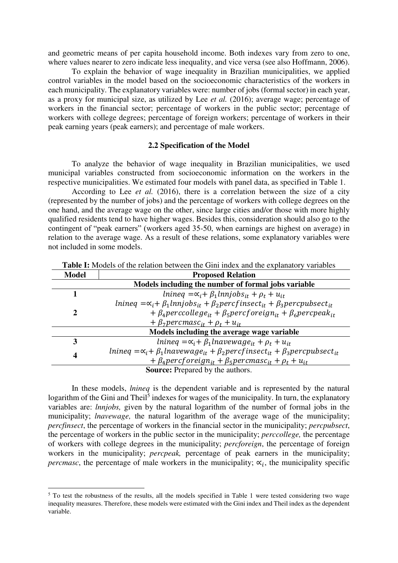and geometric means of per capita household income. Both indexes vary from zero to one, where values nearer to zero indicate less inequality, and vice versa (see also Hoffmann, 2006).

To explain the behavior of wage inequality in Brazilian municipalities, we applied control variables in the model based on the socioeconomic characteristics of the workers in each municipality. The explanatory variables were: number of jobs (formal sector) in each year, as a proxy for municipal size, as utilized by Lee *et al.* (2016); average wage; percentage of workers in the financial sector; percentage of workers in the public sector; percentage of workers with college degrees; percentage of foreign workers; percentage of workers in their peak earning years (peak earners); and percentage of male workers.

#### **2.2 Specification of the Model**

 To analyze the behavior of wage inequality in Brazilian municipalities, we used municipal variables constructed from socioeconomic information on the workers in the respective municipalities. We estimated four models with panel data, as specified in Table 1.

According to Lee *et al.* (2016), there is a correlation between the size of a city (represented by the number of jobs) and the percentage of workers with college degrees on the one hand, and the average wage on the other, since large cities and/or those with more highly qualified residents tend to have higher wages. Besides this, consideration should also go to the contingent of "peak earners" (workers aged 35-50, when earnings are highest on average) in relation to the average wage. As a result of these relations, some explanatory variables were not included in some models.

| Model                                               | <b>Proposed Relation</b>                                                                                         |  |  |  |
|-----------------------------------------------------|------------------------------------------------------------------------------------------------------------------|--|--|--|
| Models including the number of formal jobs variable |                                                                                                                  |  |  |  |
|                                                     | $lmineq = \alpha_i + \beta_1 lnnjobs_{it} + \rho_t + u_{it}$                                                     |  |  |  |
| 2                                                   | $lmineq = \alpha_i + \beta_1 lminjobs_{it} + \beta_2 percfinsect_{it} + \beta_3 percpubsect_{it}$                |  |  |  |
|                                                     | + $\beta_4$ perccollege <sub>it</sub> + $\beta_5$ percf or eign <sub>it</sub> + $\beta_6$ percpeak <sub>it</sub> |  |  |  |
|                                                     | + $\beta_7$ percmasc <sub>it</sub> + $\rho_t$ + $u_{it}$                                                         |  |  |  |
| Models including the average wage variable          |                                                                                                                  |  |  |  |
| 3                                                   | $lmineg = \alpha_i + \beta_1 lnavewage_{it} + \rho_t + u_{it}$                                                   |  |  |  |
| 4                                                   | $lmineq = \alpha_i + \beta_1 lnavewage_{it} + \beta_2 percfinsect_{it} + \beta_3 percpubsect_{it}$               |  |  |  |
|                                                     | + $\beta_4$ percforeign <sub>it</sub> + $\beta_5$ percmasc <sub>it</sub> + $\rho_t$ + $u_{it}$                   |  |  |  |
| <b>Source:</b> Prepared by the authors.             |                                                                                                                  |  |  |  |

**Table I:** Models of the relation between the Gini index and the explanatory variables

In these models, *lnineq* is the dependent variable and is represented by the natural logarithm of the Gini and Theil<sup>5</sup> indexes for wages of the municipality. In turn, the explanatory variables are: *lnnjobs,* given by the natural logarithm of the number of formal jobs in the municipality; *lnavewage,* the natural logarithm of the average wage of the municipality; *percfinsect*, the percentage of workers in the financial sector in the municipality; *percpubsect*, the percentage of workers in the public sector in the municipality; *perccollege,* the percentage of workers with college degrees in the municipality; *percforeign*, the percentage of foreign workers in the municipality; *percpeak,* percentage of peak earners in the municipality; *percmasc*, the percentage of male workers in the municipality;  $\alpha_i$ , the municipality specific

 $\overline{a}$ 

<sup>&</sup>lt;sup>5</sup> To test the robustness of the results, all the models specified in Table 1 were tested considering two wage inequality measures. Therefore, these models were estimated with the Gini index and Theil index as the dependent variable.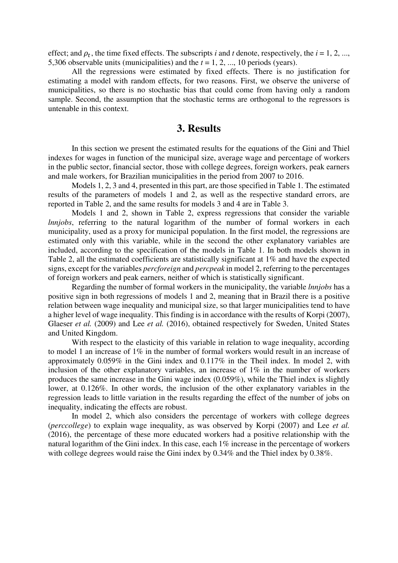effect; and  $\rho_t$ , the time fixed effects. The subscripts *i* and *t* denote, respectively, the  $i = 1, 2, ...,$ 5,306 observable units (municipalities) and the *t* = 1, 2, ..., 10 periods (years).

 All the regressions were estimated by fixed effects. There is no justification for estimating a model with random effects, for two reasons. First, we observe the universe of municipalities, so there is no stochastic bias that could come from having only a random sample. Second, the assumption that the stochastic terms are orthogonal to the regressors is untenable in this context.

## **3. Results**

In this section we present the estimated results for the equations of the Gini and Thiel indexes for wages in function of the municipal size, average wage and percentage of workers in the public sector, financial sector, those with college degrees, foreign workers, peak earners and male workers, for Brazilian municipalities in the period from 2007 to 2016.

Models 1, 2, 3 and 4, presented in this part, are those specified in Table 1. The estimated results of the parameters of models 1 and 2, as well as the respective standard errors, are reported in Table 2, and the same results for models 3 and 4 are in Table 3.

Models 1 and 2, shown in Table 2, express regressions that consider the variable *lnnjobs*, referring to the natural logarithm of the number of formal workers in each municipality, used as a proxy for municipal population. In the first model, the regressions are estimated only with this variable, while in the second the other explanatory variables are included, according to the specification of the models in Table 1. In both models shown in Table 2, all the estimated coefficients are statistically significant at 1% and have the expected signs, except for the variables *percforeign* and *percpeak* in model 2, referring to the percentages of foreign workers and peak earners, neither of which is statistically significant.

 Regarding the number of formal workers in the municipality, the variable *lnnjobs* has a positive sign in both regressions of models 1 and 2, meaning that in Brazil there is a positive relation between wage inequality and municipal size, so that larger municipalities tend to have a higher level of wage inequality. This finding is in accordance with the results of Korpi (2007), Glaeser *et al.* (2009) and Lee *et al.* (2016), obtained respectively for Sweden, United States and United Kingdom.

With respect to the elasticity of this variable in relation to wage inequality, according to model 1 an increase of 1% in the number of formal workers would result in an increase of approximately 0.059% in the Gini index and 0.117% in the Theil index. In model 2, with inclusion of the other explanatory variables, an increase of 1% in the number of workers produces the same increase in the Gini wage index (0.059%), while the Thiel index is slightly lower, at 0.126%. In other words, the inclusion of the other explanatory variables in the regression leads to little variation in the results regarding the effect of the number of jobs on inequality, indicating the effects are robust.

In model 2, which also considers the percentage of workers with college degrees (*perccollege*) to explain wage inequality, as was observed by Korpi (2007) and Lee *et al.* (2016), the percentage of these more educated workers had a positive relationship with the natural logarithm of the Gini index. In this case, each 1% increase in the percentage of workers with college degrees would raise the Gini index by 0.34% and the Thiel index by 0.38%.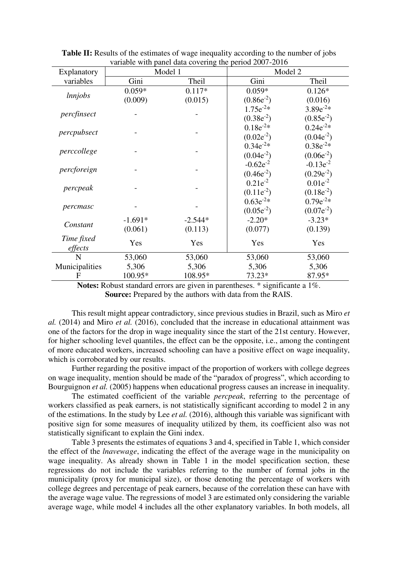|                |           |           | variable while patient data covering the period $2007-2010$<br>Model 2 |                |
|----------------|-----------|-----------|------------------------------------------------------------------------|----------------|
| Explanatory    |           | Model 1   |                                                                        |                |
| variables      | Gini      | Theil     | Gini                                                                   | Theil          |
| lnnjobs        | $0.059*$  | $0.117*$  | $0.059*$                                                               | $0.126*$       |
|                | (0.009)   | (0.015)   | $(0.86e^{-2})$                                                         | (0.016)        |
| percfinsect    |           |           | $1.75e^{-2*}$                                                          | $3.89e^{-2*}$  |
|                |           |           | $(0.38e^{-2})$                                                         | $(0.85e^{-2})$ |
| percpubsect    |           |           | $0.18e^{-2*}$                                                          | $0.24e^{-2*}$  |
|                |           |           | $(0.02e^{-2})$                                                         | $(0.04e^{-2})$ |
| perccollege    |           |           | $0.34e^{-2*}$                                                          | $0.38e^{-2*}$  |
|                |           |           | $(0.04e^{-2})$                                                         | $(0.06e^{-2})$ |
| percforeign    |           |           | $-0.62e^{-2}$                                                          | $-0.13e^{-2}$  |
|                |           |           | $(0.46e^{-2})$                                                         | $(0.29e^{-2})$ |
| percpeak       |           |           | $0.21e^{-2}$                                                           | $0.01e^{-2}$   |
|                |           |           | $(0.11e^{-2})$                                                         | $(0.18e^{-2})$ |
| percmasc       |           |           | $0.63e^{-2*}$                                                          | $0.79e^{-2*}$  |
|                |           |           | $(0.05e^{-2})$                                                         | $(0.07e^{-2})$ |
| Constant       | $-1.691*$ | $-2.544*$ | $-2.20*$                                                               | $-3.23*$       |
|                | (0.061)   | (0.113)   | (0.077)                                                                | (0.139)        |
| Time fixed     | Yes       | Yes       | Yes                                                                    | Yes            |
| effects        |           |           |                                                                        |                |
| N              | 53,060    | 53,060    | 53,060                                                                 | 53,060         |
| Municipalities | 5,306     | 5,306     | 5,306                                                                  | 5,306          |
| F              | 100.95*   | 108.95*   | 73.23*                                                                 | 87.95*         |

**Table II:** Results of the estimates of wage inequality according to the number of jobs variable with panel data covering the period 2007-2016

**Notes:** Robust standard errors are given in parentheses. \* significante a 1%. **Source:** Prepared by the authors with data from the RAIS.

 This result might appear contradictory, since previous studies in Brazil, such as Miro *et al.* (2014) and Miro *et al.* (2016), concluded that the increase in educational attainment was one of the factors for the drop in wage inequality since the start of the 21st century. However, for higher schooling level quantiles, the effect can be the opposite, i.e., among the contingent of more educated workers, increased schooling can have a positive effect on wage inequality, which is corroborated by our results.

 Further regarding the positive impact of the proportion of workers with college degrees on wage inequality, mention should be made of the "paradox of progress", which according to Bourguignon *et al.* (2005) happens when educational progress causes an increase in inequality.

The estimated coefficient of the variable *percpeak*, referring to the percentage of workers classified as peak earners, is not statistically significant according to model 2 in any of the estimations. In the study by Lee *et al.* (2016), although this variable was significant with positive sign for some measures of inequality utilized by them, its coefficient also was not statistically significant to explain the Gini index.

 Table 3 presents the estimates of equations 3 and 4, specified in Table 1, which consider the effect of the *lnavewage*, indicating the effect of the average wage in the municipality on wage inequality. As already shown in Table 1 in the model specification section, these regressions do not include the variables referring to the number of formal jobs in the municipality (proxy for municipal size), or those denoting the percentage of workers with college degrees and percentage of peak earners, because of the correlation these can have with the average wage value. The regressions of model 3 are estimated only considering the variable average wage, while model 4 includes all the other explanatory variables. In both models, all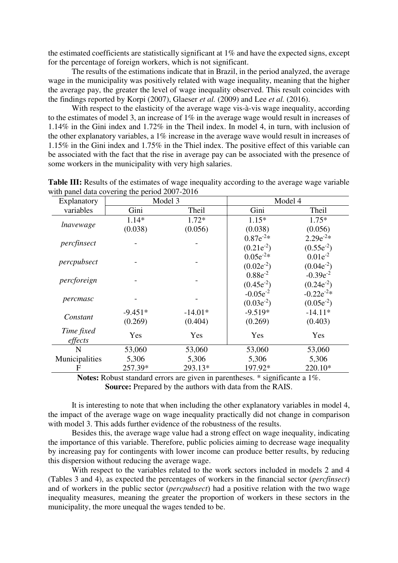the estimated coefficients are statistically significant at 1% and have the expected signs, except for the percentage of foreign workers, which is not significant.

 The results of the estimations indicate that in Brazil, in the period analyzed, the average wage in the municipality was positively related with wage inequality, meaning that the higher the average pay, the greater the level of wage inequality observed. This result coincides with the findings reported by Korpi (2007), Glaeser *et al.* (2009) and Lee *et al.* (2016).

With respect to the elasticity of the average wage vis-à-vis wage inequality, according to the estimates of model 3, an increase of 1% in the average wage would result in increases of 1.14% in the Gini index and 1.72% in the Theil index. In model 4, in turn, with inclusion of the other explanatory variables, a 1% increase in the average wave would result in increases of 1.15% in the Gini index and 1.75% in the Thiel index. The positive effect of this variable can be associated with the fact that the rise in average pay can be associated with the presence of some workers in the municipality with very high salaries.

| Explanatory    | Model 3   |           | Model 4        |                |
|----------------|-----------|-----------|----------------|----------------|
| variables      | Gini      | Theil     | Gini           | Theil          |
| lnavewage      | 1.14*     | $1.72*$   | $1.15*$        | $1.75*$        |
|                | (0.038)   | (0.056)   | (0.038)        | (0.056)        |
|                |           |           | $0.87e^{-2*}$  | $2.29e^{-2*}$  |
| percfinsect    |           |           | $(0.21e^{-2})$ | $(0.55e^{-2})$ |
| percpubsect    |           |           | $0.05e^{-2*}$  | $0.01e^{-2}$   |
|                |           |           | $(0.02e^{-2})$ | $(0.04e^{-2})$ |
| percforeign    |           |           | $0.88e^{-2}$   | $-0.39e^{-2}$  |
|                |           |           | $(0.45e^{-2})$ | $(0.24e^{-2})$ |
| percmasc       |           |           | $-0.05e^{-2}$  | $-0.22e^{-2*}$ |
|                |           |           | $(0.03e^{-2})$ | $(0.05e^{-2})$ |
| Constant       | $-9.451*$ | $-14.01*$ | $-9.519*$      | $-14.11*$      |
|                | (0.269)   | (0.404)   | (0.269)        | (0.403)        |
| Time fixed     | Yes       | Yes       | Yes            | Yes            |
| effects        |           |           |                |                |
| N              | 53,060    | 53,060    | 53,060         | 53,060         |
| Municipalities | 5,306     | 5,306     | 5,306          | 5,306          |
| F              | 257.39*   | 293.13*   | 197.92*        | 220.10*        |

Table III: Results of the estimates of wage inequality according to the average wage variable with panel data covering the period 2007-2016

**Notes:** Robust standard errors are given in parentheses. \* significante a 1%. **Source:** Prepared by the authors with data from the RAIS.

It is interesting to note that when including the other explanatory variables in model 4, the impact of the average wage on wage inequality practically did not change in comparison with model 3. This adds further evidence of the robustness of the results.

Besides this, the average wage value had a strong effect on wage inequality, indicating the importance of this variable. Therefore, public policies aiming to decrease wage inequality by increasing pay for contingents with lower income can produce better results, by reducing this dispersion without reducing the average wage.

With respect to the variables related to the work sectors included in models 2 and 4 (Tables 3 and 4), as expected the percentages of workers in the financial sector (*percfinsect*) and of workers in the public sector (*percpubsect*) had a positive relation with the two wage inequality measures, meaning the greater the proportion of workers in these sectors in the municipality, the more unequal the wages tended to be.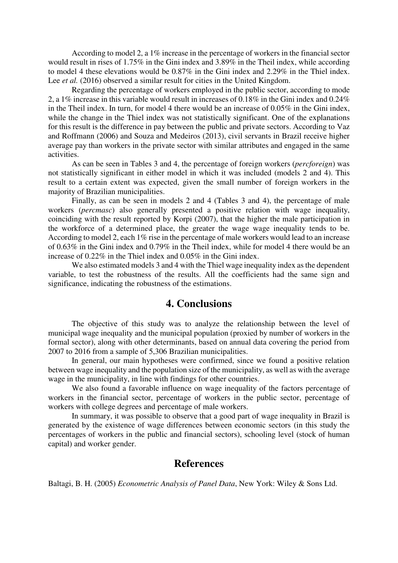According to model 2, a 1% increase in the percentage of workers in the financial sector would result in rises of 1.75% in the Gini index and 3.89% in the Theil index, while according to model 4 these elevations would be 0.87% in the Gini index and 2.29% in the Thiel index. Lee *et al.* (2016) observed a similar result for cities in the United Kingdom.

Regarding the percentage of workers employed in the public sector, according to mode 2, a 1% increase in this variable would result in increases of 0.18% in the Gini index and 0.24% in the Theil index. In turn, for model 4 there would be an increase of 0.05% in the Gini index, while the change in the Thiel index was not statistically significant. One of the explanations for this result is the difference in pay between the public and private sectors. According to Vaz and Roffmann (2006) and Souza and Medeiros (2013), civil servants in Brazil receive higher average pay than workers in the private sector with similar attributes and engaged in the same activities.

As can be seen in Tables 3 and 4, the percentage of foreign workers (*percforeign*) was not statistically significant in either model in which it was included (models 2 and 4). This result to a certain extent was expected, given the small number of foreign workers in the majority of Brazilian municipalities.

Finally, as can be seen in models 2 and 4 (Tables 3 and 4), the percentage of male workers (*percmasc*) also generally presented a positive relation with wage inequality, coinciding with the result reported by Korpi (2007), that the higher the male participation in the workforce of a determined place, the greater the wage wage inequality tends to be. According to model 2, each 1% rise in the percentage of male workers would lead to an increase of 0.63% in the Gini index and 0.79% in the Theil index, while for model 4 there would be an increase of 0.22% in the Thiel index and 0.05% in the Gini index.

We also estimated models 3 and 4 with the Thiel wage inequality index as the dependent variable, to test the robustness of the results. All the coefficients had the same sign and significance, indicating the robustness of the estimations.

### **4. Conclusions**

 The objective of this study was to analyze the relationship between the level of municipal wage inequality and the municipal population (proxied by number of workers in the formal sector), along with other determinants, based on annual data covering the period from 2007 to 2016 from a sample of 5,306 Brazilian municipalities.

In general, our main hypotheses were confirmed, since we found a positive relation between wage inequality and the population size of the municipality, as well as with the average wage in the municipality, in line with findings for other countries.

 We also found a favorable influence on wage inequality of the factors percentage of workers in the financial sector, percentage of workers in the public sector, percentage of workers with college degrees and percentage of male workers.

 In summary, it was possible to observe that a good part of wage inequality in Brazil is generated by the existence of wage differences between economic sectors (in this study the percentages of workers in the public and financial sectors), schooling level (stock of human capital) and worker gender.

#### **References**

Baltagi, B. H. (2005) *Econometric Analysis of Panel Data*, New York: Wiley & Sons Ltd.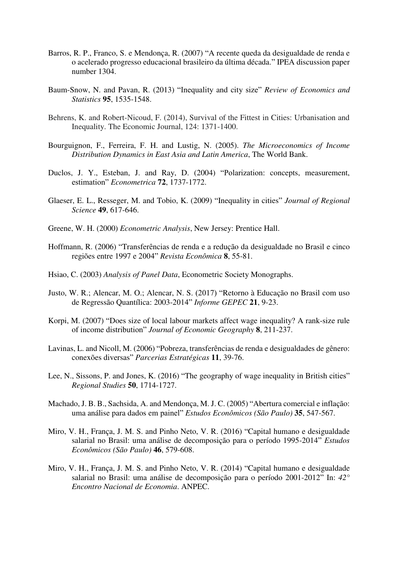- Barros, R. P., Franco, S. e Mendonça, R. (2007) "A recente queda da desigualdade de renda e o acelerado progresso educacional brasileiro da última década." IPEA discussion paper number 1304.
- Baum-Snow, N. and Pavan, R. (2013) "Inequality and city size" *Review of Economics and Statistics* **95**, 1535-1548.
- Behrens, K. and Robert-Nicoud, F. (2014), Survival of the Fittest in Cities: Urbanisation and Inequality. The Economic Journal, 124: 1371-1400.
- Bourguignon, F., Ferreira, F. H. and Lustig, N. (2005). *The Microeconomics of Income Distribution Dynamics in East Asia and Latin America*, The World Bank.
- Duclos, J. Y., Esteban, J. and Ray, D. (2004) "Polarization: concepts, measurement, estimation" *Econometrica* **72**, 1737-1772.
- Glaeser, E. L., Resseger, M. and Tobio, K. (2009) "Inequality in cities" *Journal of Regional Science* **49**, 617-646.
- Greene, W. H. (2000) *Econometric Analysis*, New Jersey: Prentice Hall.
- Hoffmann, R. (2006) "Transferências de renda e a redução da desigualdade no Brasil e cinco regiões entre 1997 e 2004" *Revista Econômica* **8**, 55-81.
- Hsiao, C. (2003) *Analysis of Panel Data*, Econometric Society Monographs.
- Justo, W. R.; Alencar, M. O.; Alencar, N. S. (2017) "Retorno à Educação no Brasil com uso de Regressão Quantílica: 2003-2014" *Informe GEPEC* **21**, 9-23.
- Korpi, M. (2007) "Does size of local labour markets affect wage inequality? A rank-size rule of income distribution" *Journal of Economic Geography* **8**, 211-237.
- Lavinas, L. and Nicoll, M. (2006) "Pobreza, transferências de renda e desigualdades de gênero: conexões diversas" *Parcerias Estratégicas* **11**, 39-76.
- Lee, N., Sissons, P. and Jones, K. (2016) "The geography of wage inequality in British cities" *Regional Studies* **50**, 1714-1727.
- Machado, J. B. B., Sachsida, A. and Mendonça, M. J. C. (2005) "Abertura comercial e inflação: uma análise para dados em painel" *Estudos Econômicos (São Paulo)* **35**, 547-567.
- Miro, V. H., França, J. M. S. and Pinho Neto, V. R. (2016) "Capital humano e desigualdade salarial no Brasil: uma análise de decomposição para o período 1995-2014" *Estudos Econômicos (São Paulo)* **46**, 579-608.
- Miro, V. H., França, J. M. S. and Pinho Neto, V. R. (2014) "Capital humano e desigualdade salarial no Brasil: uma análise de decomposição para o período 2001-2012" In: *42° Encontro Nacional de Economia*. ANPEC.